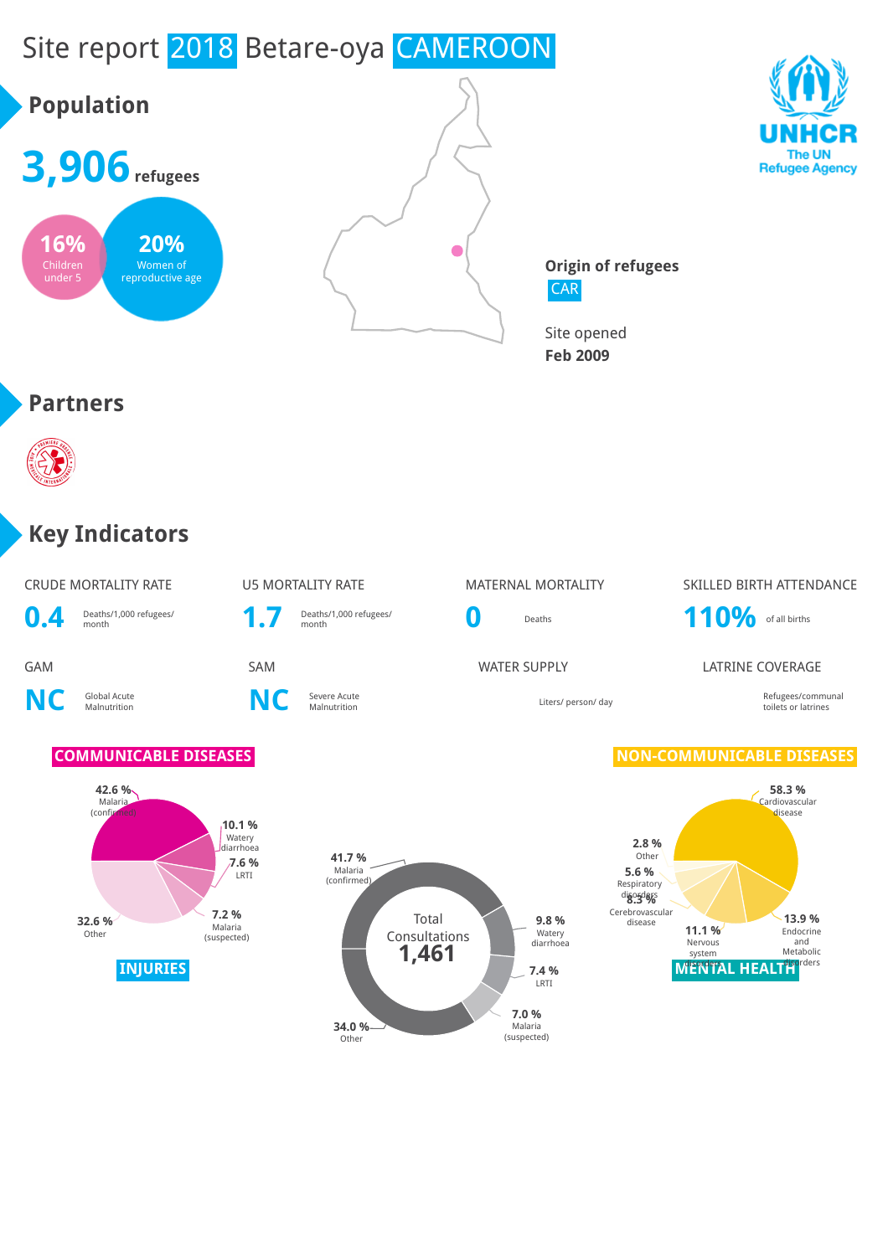# Site report 2018 Betare-oya CAMEROON

# **Population**







**Origin of refugees CAR** 

Site opened **Feb 2009**

### **Partners**



### **Key Indicators**

|                           | CRUDE MORTALITY RATE                             |  |
|---------------------------|--------------------------------------------------|--|
| $\mathbf{A}$ $\mathbf{A}$ | $\sim$ $\sim$ $\sim$ $\sim$ $\sim$ $\sim$ $\sim$ |  |

**NC** Global Acute

**0.4** Deaths/1,000 refugees/<br> **1.7** Deaths/1,000 refugees/<br> **1.7** Deaths/1,000 refugees/

**NC** Severe Acute

### U5 MORTALITY RATE MATERNAL MORTALITY SKILLED BIRTH ATTENDANCE

Deaths/1,000 refugees/<br>month **110%** of all births

#### **GAM** SAM SAM SAM WATER SUPPLY LATRINE COVERAGE

Liters/ person/ day and the communal communal communal communal communal communal communal communal communal communal communal communal communal communal communal communal communal communal communal communal communal commu toilets or latrines

#### **COMMUNICABLE DISEASES NON-COMMUNICABLE DISEASES**







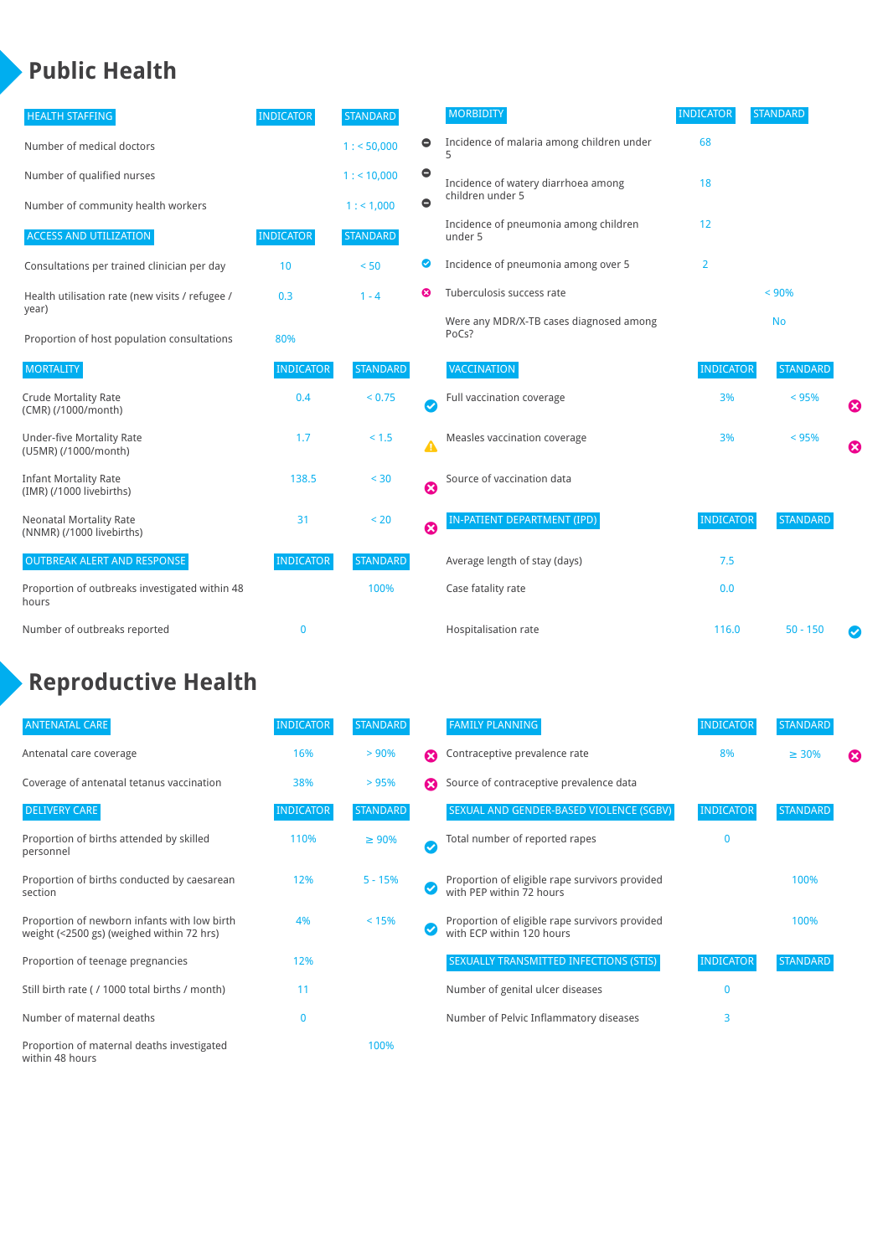### **Public Health**

| <b>HEALTH STAFFING</b>                                      | <b>INDICATOR</b> | <b>STANDARD</b> |           | <b>MORBIDITY</b>                                 | <b>INDICATOR</b> | <b>STANDARD</b> |   |
|-------------------------------------------------------------|------------------|-----------------|-----------|--------------------------------------------------|------------------|-----------------|---|
| Number of medical doctors                                   |                  | 1: 50,000       | $\bullet$ | Incidence of malaria among children under        | 68               |                 |   |
| Number of qualified nurses                                  |                  | $1:$ < 10,000   | $\bullet$ | Incidence of watery diarrhoea among              | 18               |                 |   |
| Number of community health workers                          |                  | 1:1,000         | $\bullet$ | children under 5                                 |                  |                 |   |
| <b>ACCESS AND UTILIZATION</b>                               | <b>INDICATOR</b> | <b>STANDARD</b> |           | Incidence of pneumonia among children<br>under 5 | 12               |                 |   |
| Consultations per trained clinician per day                 | 10               | < 50            | ◎         | Incidence of pneumonia among over 5              | $\overline{2}$   |                 |   |
| Health utilisation rate (new visits / refugee /             | 0.3              | $1 - 4$         | ೞ         | Tuberculosis success rate                        |                  | < 90%           |   |
| year)<br>Proportion of host population consultations        | 80%              |                 |           | Were any MDR/X-TB cases diagnosed among<br>PoCs? |                  | <b>No</b>       |   |
| <b>MORTALITY</b>                                            | <b>INDICATOR</b> | <b>STANDARD</b> |           | <b>VACCINATION</b>                               | <b>INDICATOR</b> | <b>STANDARD</b> |   |
| <b>Crude Mortality Rate</b><br>(CMR) (/1000/month)          | 0.4              | < 0.75          | Ø         | Full vaccination coverage                        | 3%               | < 95%           | Ø |
| <b>Under-five Mortality Rate</b><br>(U5MR) (/1000/month)    | 1.7              | $< 1.5$         | Δ         | Measles vaccination coverage                     | 3%               | < 95%           | Ø |
| <b>Infant Mortality Rate</b><br>(IMR) (/1000 livebirths)    | 138.5            | $30$            | Ø         | Source of vaccination data                       |                  |                 |   |
| <b>Neonatal Mortality Rate</b><br>(NNMR) (/1000 livebirths) | 31               | < 20            | 0         | IN-PATIENT DEPARTMENT (IPD)                      | <b>INDICATOR</b> | <b>STANDARD</b> |   |
| <b>OUTBREAK ALERT AND RESPONSE</b>                          | <b>INDICATOR</b> | <b>STANDARD</b> |           | Average length of stay (days)                    | 7.5              |                 |   |
| Proportion of outbreaks investigated within 48<br>hours     |                  | 100%            |           | Case fatality rate                               | 0.0              |                 |   |
| Number of outbreaks reported                                | $\mathbf 0$      |                 |           | Hospitalisation rate                             | 116.0            | $50 - 150$      |   |

### **Reproductive Health**

| <b>ANTENATAL CARE</b>                                                                     | <b>INDICATOR</b> | <b>STANDARD</b> |                       | <b>FAMILY PLANNING</b>                                                      | <b>INDICATOR</b> | <b>STANDARD</b> |   |
|-------------------------------------------------------------------------------------------|------------------|-----------------|-----------------------|-----------------------------------------------------------------------------|------------------|-----------------|---|
| Antenatal care coverage                                                                   | 16%              | > 90%           | Ω                     | Contraceptive prevalence rate                                               | 8%               | $\geq 30\%$     | ⊠ |
| Coverage of antenatal tetanus vaccination                                                 | 38%              | >95%            | Ω                     | Source of contraceptive prevalence data                                     |                  |                 |   |
| <b>DELIVERY CARE</b>                                                                      | <b>INDICATOR</b> | STANDARD        |                       | SEXUAL AND GENDER-BASED VIOLENCE (SGBV)                                     | <b>INDICATOR</b> | <b>STANDARD</b> |   |
| Proportion of births attended by skilled<br>personnel                                     | 110%             | $\geq 90\%$     | $\boldsymbol{\sigma}$ | Total number of reported rapes                                              | $\mathbf{0}$     |                 |   |
| Proportion of births conducted by caesarean<br>section                                    | 12%              | $5 - 15%$       |                       | Proportion of eligible rape survivors provided<br>with PEP within 72 hours  |                  | 100%            |   |
| Proportion of newborn infants with low birth<br>weight (<2500 gs) (weighed within 72 hrs) | 4%               | < 15%           |                       | Proportion of eligible rape survivors provided<br>with ECP within 120 hours |                  | 100%            |   |
| Proportion of teenage pregnancies                                                         | 12%              |                 |                       | SEXUALLY TRANSMITTED INFECTIONS (STIS)                                      | <b>INDICATOR</b> | <b>STANDARD</b> |   |
| Still birth rate (/1000 total births / month)                                             | 11               |                 |                       | Number of genital ulcer diseases                                            | $\mathbf{0}$     |                 |   |
| Number of maternal deaths                                                                 | $\mathbf{0}$     |                 |                       | Number of Pelvic Inflammatory diseases                                      | 3                |                 |   |
| Proportion of maternal deaths investigated<br>within 48 hours                             |                  | 100%            |                       |                                                                             |                  |                 |   |